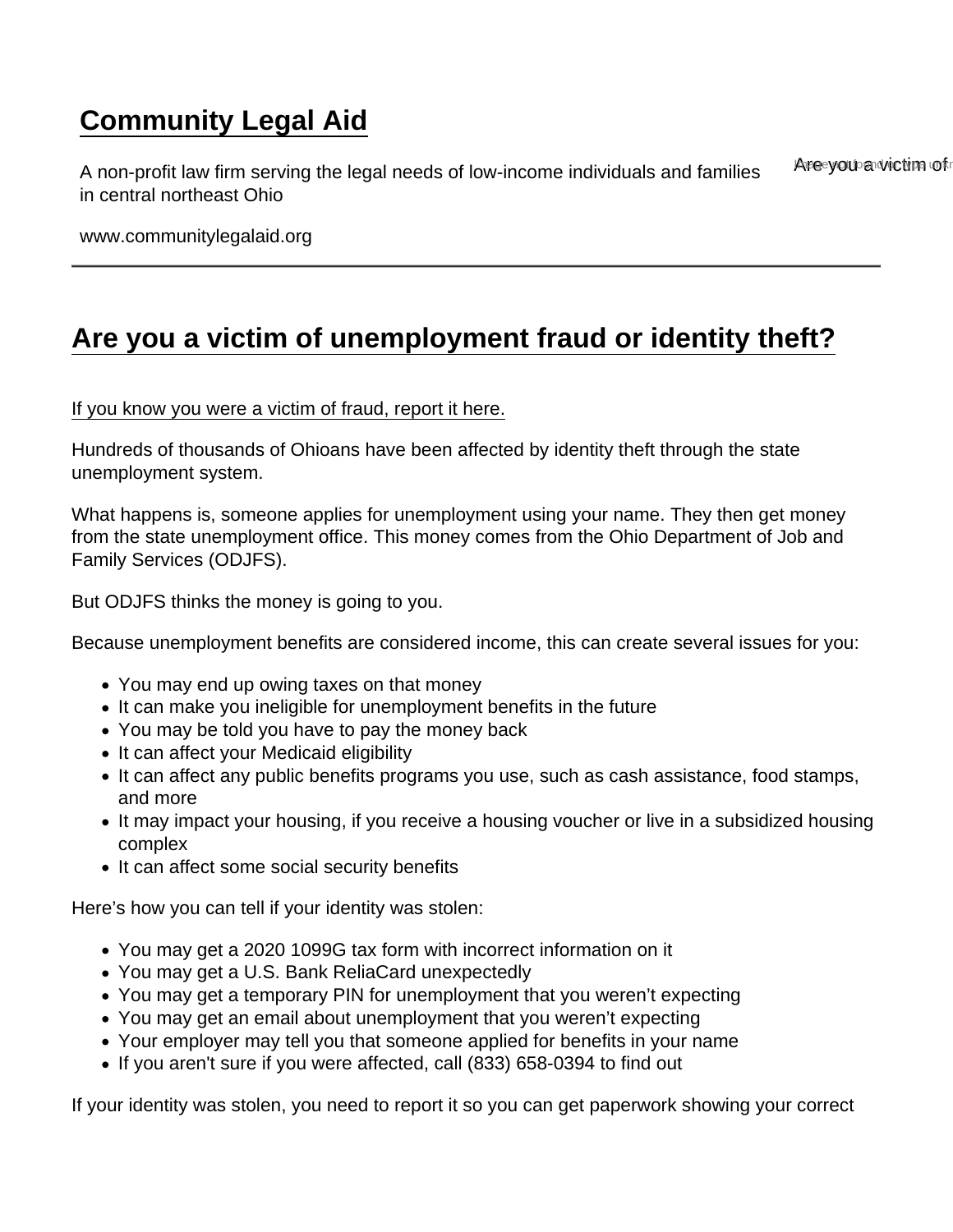## [Community Legal Aid](https://www.communitylegalaid.org/)

A non-profit law firm serving the legal needs of low-income individuals and families in central northeast Ohio Are you a victim of

www.communitylegalaid.org

## [Are you a victim of unemployment fraud or identity theft?](https://www.communitylegalaid.org/unemployment/fraud)

## [If you know you were a victim of fraud, report it here.](https://odjfs2.secure.force.com/OUIOFraudReportingPortal)

Hundreds of thousands of Ohioans have been affected by identity theft through the state unemployment system.

What happens is, someone applies for unemployment using your name. They then get money from the state unemployment office. This money comes from the Ohio Department of Job and Family Services (ODJFS).

But ODJFS thinks the money is going to you.

Because unemployment benefits are considered income, this can create several issues for you:

- You may end up owing taxes on that money
- It can make you ineligible for unemployment benefits in the future
- You may be told you have to pay the money back
- It can affect your Medicaid eligibility
- It can affect any public benefits programs you use, such as cash assistance, food stamps, and more
- It may impact your housing, if you receive a housing voucher or live in a subsidized housing complex
- It can affect some social security benefits

Here's how you can tell if your identity was stolen:

- You may get a 2020 1099G tax form with incorrect information on it
- You may get a U.S. Bank ReliaCard unexpectedly
- You may get a temporary PIN for unemployment that you weren't expecting
- You may get an email about unemployment that you weren't expecting
- Your employer may tell you that someone applied for benefits in your name
- If you aren't sure if you were affected, call (833) 658-0394 to find out

If your identity was stolen, you need to report it so you can get paperwork showing your correct